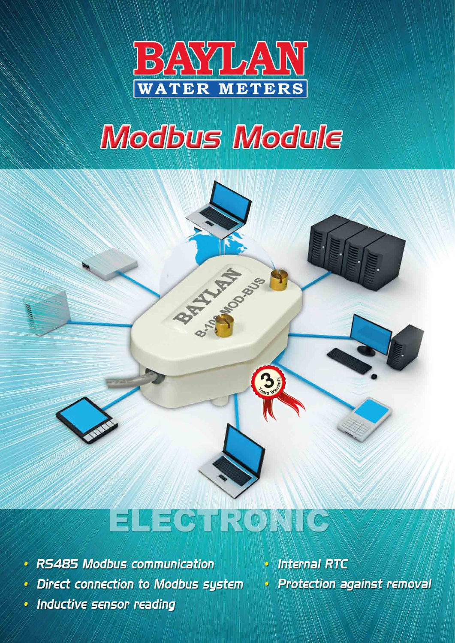

# **Modbus Module**



- RS485 Modbus communication
- $\bullet$  Direct connection to Modbus system
- Inductive sensor reading

 $\cdot$  Internal RTC Protection against removal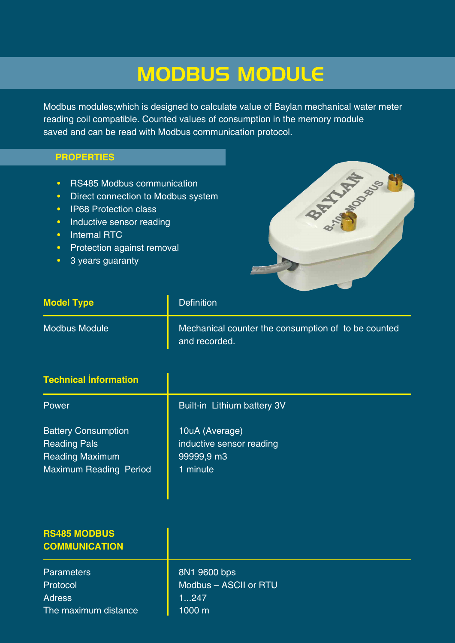## MODBUS MODULE

Modbus modules;which is designed to calculate value of Baylan mechanical water meter reading coil compatible. Counted values of consumption in the memory module saved and can be read with Modbus communication protocol.

#### **PROPERTIES**

- RS485 Modbus communication
- Direct connection to Modbus system
- IP68 Protection class
- Inductive sensor reading
- Internal RTC
- Protection against removal
- 3 years guaranty



| <b>Model Type</b>    | <b>Definition</b>                                                    |
|----------------------|----------------------------------------------------------------------|
| <b>Modbus Module</b> | Mechanical counter the consumption of to be counted<br>and recorded. |

| <b>Technical Information</b>                                                                                 |                                                                      |
|--------------------------------------------------------------------------------------------------------------|----------------------------------------------------------------------|
| Power                                                                                                        | Built-in Lithium battery 3V                                          |
| <b>Battery Consumption</b><br><b>Reading Pals</b><br><b>Reading Maximum</b><br><b>Maximum Reading Period</b> | 10uA (Average)<br>inductive sensor reading<br>99999,9 m3<br>1 minute |

| <b>RS485 MODBUS</b><br><b>COMMUNICATION</b> |                       |
|---------------------------------------------|-----------------------|
| <b>Parameters</b>                           | 8N1 9600 bps          |
| Protocol                                    | Modbus - ASCII or RTU |
| <b>Adress</b>                               | 1247                  |
| The maximum distance                        | 1000 m                |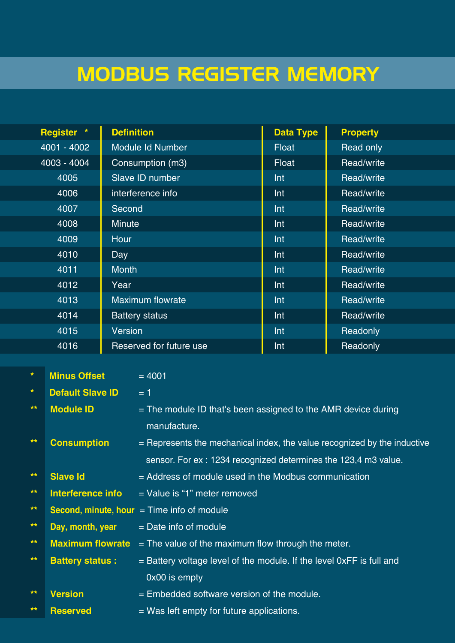# MODBUS REGISTER MEMORY

| Register *  | <b>Definition</b>       | <b>Data Type</b> | <b>Property</b> |
|-------------|-------------------------|------------------|-----------------|
| 4001 - 4002 | Module Id Number        | <b>Float</b>     | Read only       |
| 4003 - 4004 | Consumption (m3)        | <b>Float</b>     | Read/write      |
| 4005        | Slave ID number         | Int              | Read/write      |
| 4006        | interference info       | Int              | Read/write      |
| 4007        | Second                  | Int              | Read/write      |
| 4008        | <b>Minute</b>           | Int              | Read/write      |
| 4009        | Hour                    | Int              | Read/write      |
| 4010        | Day                     | Int              | Read/write      |
| 4011        | <b>Month</b>            | Int              | Read/write      |
| 4012        | Year                    | Int              | Read/write      |
| 4013        | <b>Maximum flowrate</b> | Int              | Read/write      |
| 4014        | <b>Battery status</b>   | Int              | Read/write      |
| 4015        | <b>Version</b>          | Int              | Readonly        |
| 4016        | Reserved for future use | Int              | Readonly        |

| $\color{blue}\star$ | <b>Minus Offset</b>     | $= 4001$                                                                   |
|---------------------|-------------------------|----------------------------------------------------------------------------|
| *.                  | <b>Default Slave ID</b> | $= 1$                                                                      |
| $***$               | <b>Module ID</b>        | $=$ The module ID that's been assigned to the AMR device during            |
|                     |                         | manufacture.                                                               |
| $***$               | <b>Consumption</b>      | $=$ Represents the mechanical index, the value recognized by the inductive |
|                     |                         | sensor. For ex: 1234 recognized determines the 123,4 m3 value.             |
| $***$               | <b>Slave Id</b>         | = Address of module used in the Modbus communication                       |
| $***$               | Interference info       | $=$ Value is "1" meter removed                                             |
| $***$               |                         | <b>Second, minute, hour</b> $=$ Time info of module                        |
| $**$                | Day, month, year        | $=$ Date info of module                                                    |
| $***$               | <b>Maximum flowrate</b> | $=$ The value of the maximum flow through the meter.                       |
| $***$               | <b>Battery status:</b>  | $=$ Battery voltage level of the module. If the level 0xFF is full and     |
|                     |                         | 0x00 is empty                                                              |
| $***$               | <b>Version</b>          | $=$ Embedded software version of the module.                               |
| $***$               | <b>Reserved</b>         | $=$ Was left empty for future applications.                                |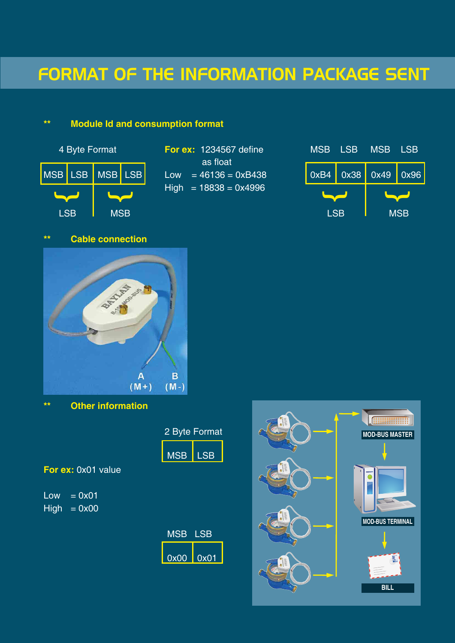### FORMAT OF THE INFORMATION PACKAGE SENT

### **\*\* Module Id and consumption format**



# as float  $High = 18838 = 0x4996$



### **\*\* Cable connection**



**\*\* Other information**

|   |  | 2 Byte Format  |                                                                                                                                 |  |
|---|--|----------------|---------------------------------------------------------------------------------------------------------------------------------|--|
|   |  | <b>MSB</b> LSB | $\mathcal{L}^{\text{max}}_{\text{max}}$ and $\mathcal{L}^{\text{max}}_{\text{max}}$ and $\mathcal{L}^{\text{max}}_{\text{max}}$ |  |
| ~ |  |                |                                                                                                                                 |  |

**For ex:** 0x01 value

 $Low = 0x01$  $High = 0x00$ 

| <b>MSB LSB</b> | $\mathcal{L}(\mathcal{L})$ and $\mathcal{L}(\mathcal{L})$ and $\mathcal{L}(\mathcal{L})$ and $\mathcal{L}(\mathcal{L})$ |
|----------------|-------------------------------------------------------------------------------------------------------------------------|
|                |                                                                                                                         |

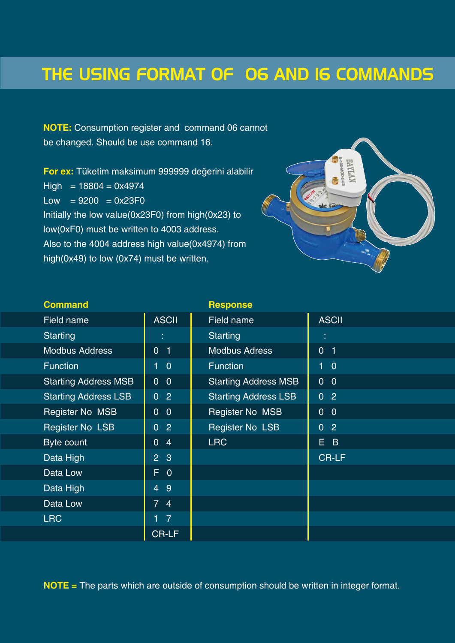### THE USING FORMAT OF O6 AND I6 COMMANDS

**NOTE:** Consumption register and command 06 cannot be changed. Should be use command 16.

**For ex:** Tüketim maksimum 999999 değerini alabilir  $High = 18804 = 0x4974$  $Low = 9200 = 0x23F0$ Initially the low value(0x23F0) from high(0x23) to low(0xF0) must be written to 4003 address. Also to the 4004 address high value(0x4974) from high(0x49) to low (0x74) must be written.



| <b>Command</b>              |                                  | <b>Response</b>             |                  |
|-----------------------------|----------------------------------|-----------------------------|------------------|
| Field name                  | <b>ASCII</b>                     | Field name                  | <b>ASCII</b>     |
| <b>Starting</b>             |                                  | <b>Starting</b>             | Ę                |
| <b>Modbus Address</b>       | 0 <sub>1</sub>                   | <b>Modbus Adress</b>        | 0 <sub>1</sub>   |
| <b>Function</b>             | 1<br>$\overline{0}$              | <b>Function</b>             | $1\quad 0$       |
| <b>Starting Address MSB</b> | $\overline{0}$<br>$\overline{0}$ | <b>Starting Address MSB</b> | 0 <sub>0</sub>   |
| <b>Starting Address LSB</b> | $\overline{0}$<br>$\overline{2}$ | <b>Starting Address LSB</b> | $\overline{0}$ 2 |
| <b>Register No MSB</b>      | $\overline{0}$<br>$\overline{0}$ | <b>Register No MSB</b>      | $\overline{0}$ 0 |
| <b>Register No LSB</b>      | $\overline{2}$<br>$\overline{0}$ | <b>Register No LSB</b>      | $\overline{0}$ 2 |
| Byte count                  | $\overline{0}$<br>$\overline{4}$ | <b>LRC</b>                  | E B              |
| Data High                   | 2 <sub>3</sub>                   |                             | <b>CR-LF</b>     |
| Data Low                    | $F$ 0                            |                             |                  |
| Data High                   | $\overline{4}$<br>9              |                             |                  |
| Data Low                    | 7 <sup>1</sup><br>$\overline{4}$ |                             |                  |
| <b>LRC</b>                  | $1 \quad 7$                      |                             |                  |
|                             | <b>CR-LF</b>                     |                             |                  |

**NOTE =** The parts which are outside of consumption should be written in integer format.